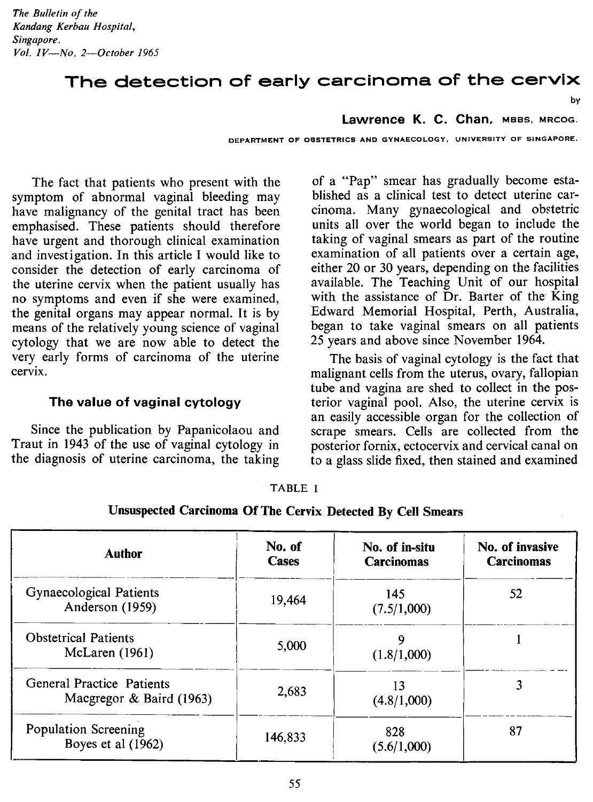*The Bulletin of the Kandang Kerbau Hospital, Singapore. Vol. IV-No. 2-0ctober 1965*

# The detection of early carcinoma of the cervix

by

**lawrence K. C. Chan,** MBBS, MRCOG.

DEPARTMENT OF OBSTETRICS AND GYNAECOLOGY, UNIVERSITY OF SINGAPORE.

The fact that patients who present with the symptom of abnormal vaginal bleeding may have malignancy of the genital tract has been emphasised. These patients should therefore have urgent and thorough clinical examination and investigation. In this article I would like to consider the detection of early carcinoma of the uterine cervix when the patient usually has no symptoms and even if she were examined, the genital organs may appear normal. It is by means of the relatively young science of vaginal cytology that we are now able to detect the very early forms of carcinoma of the uterine cervix.

### The value of vaginal cytology

Since the publication by Papanicolaou and Traut in 1943 of the use of vaginal cytology in the diagnosis of uterine carcinoma, the taking

of a "Pap" smear has gradually become established as a clinical test to detect uterine carcinoma. Many gynaecological and obstetric units all over the world began to include the taking of vaginal smears as part of the routine examination of all patients over a certain age, either 20 or 30 years, depending on the facilities available. The Teaching Unit of our hospital with the assistance of Dr. Barter of the King Edward Memorial Hospital, Perth, Australia, began to take vaginal smears on all patients 25 years and above since November 1964.

The basis of vaginal cytology is the fact that malignant cells from the uterus, ovary, fallopian tube and vagina are shed to collect in the posterior vaginal pool. Also, the uterine cervix is an easily accessible organ for the collection of scrape smears. Cells are collected from the posterior fornix, ectocervix and cervical canal on to a glass slide fixed, then stained and examined

| <b>Author</b>                                                | No. of<br>Cases | No. of in-situ<br><b>Carcinomas</b> | No. of invasive<br>Carcinomas |
|--------------------------------------------------------------|-----------------|-------------------------------------|-------------------------------|
| Gynaecological Patients<br>Anderson (1959)                   | 19.464          | 145<br>(7.5/1,000)                  | 52                            |
| <b>Obstetrical Patients</b><br>McLaren $(1961)$              | 5,000           | 9<br>(1.8/1,000)                    |                               |
| <b>General Practice Patients</b><br>Macgregor & Baird (1963) | 2,683           | 13<br>(4.8/1,000)                   | 3                             |
| Population Screening<br>Boyes et al $(1962)$                 | 146,833         | 828<br>(5.6/1,000)                  | 87                            |

TABLE I

| Unsuspected Carcinoma Of The Cervix Detected By Cell Smears |  |
|-------------------------------------------------------------|--|
|-------------------------------------------------------------|--|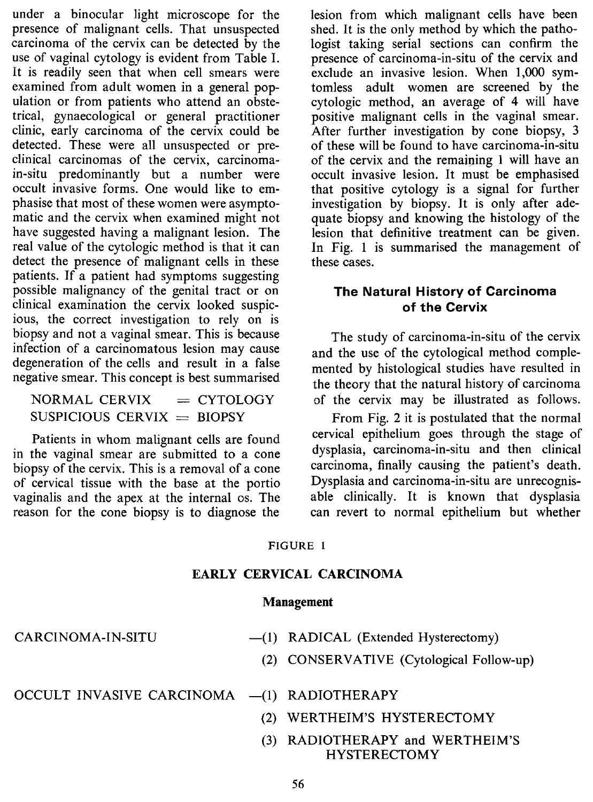under a binocular light microscope for the presence of malignant cells. That unsuspected carcinoma of the cervix can be detected by the use of vaginal cytology is evident from Table I. It is readily seen that when cell smears were examined from adult women in a general population or from patients who attend an obstetrical, gynaecological or general practitioner clinic, early carcinoma of the cervix could be detected. These were all unsuspected or preclinical carcinomas of the cervix, carcinomain-situ predominantly but a number were occult invasive forms. One would like to emphasise that most of these women were asymptomatic and the cervix when examined might not have suggested having a malignant lesion. The real value of the cytologic method is that it can detect the presence of malignant cells in these patients. If a patient had symptoms suggesting possible malignancy of the genital tract or on clinical examination the cervix looked suspicious, the correct investigation to rely on is biopsy and not a vaginal smear. This is because infection of a carcinomatous lesion may cause degeneration of the cells and result in a false negative smear. This concept is best summarised

 $NORMAL$  CERVIX  $=$  CYTOLOGY  $SUSPICIOUS$  CERVIX = BIOPSY

Patients in whom malignant cells are found in the vaginal smear are submitted to a cone biopsy of the cervix. This is a removal of a cone of cervical tissue with the base at the portio vaginalis and the apex at the internal os. The reason for the cone biopsy is to diagnose the lesion from which malignant cells have been shed. It is the only method by which the pathologist taking serial sections can confirm the presence of carcinoma-in-situ of the cervix and exclude an invasive lesion. When 1,000 symtomless adult women are screened by the cytologic method, an average of 4 will have positive malignant cells in the vaginal smear. After further investigation by cone biopsy, 3 of these will be found to have carcinoma-in-situ of the cervix and the remaining 1 will have an occult invasive lesion. It must be emphasised that positive cytology is a signal for further investigation by biopsy. It is only after adequate biopsy and knowing the histology of the lesion that definitive treatment can be given. In Fig. 1 is summarised the management of these cases.

### **The Natural History of Carcinoma of the Cervix**

The study of carcinoma-in-situ of the cervix and the use of the cytological method complemented by histological studies have resulted in the theory that the natural history of carcinoma of the cervix may be illustrated as follows.

From Fig. 2 it is postulated that the normal cervical epithelium goes through the stage of dysplasia, carcinoma-in-situ and then clinical carcinoma, finally causing the patient's death. Dysplasia and carcinoma-in-situ are unrecognisable clinically. It is known that dysplasia can revert to normal epithelium but whether

### FIGURE 1

### **EARLY CERVICAL CARCINOMA**

### **Management**

| CARCINOMA-IN-SITU | $-(1)$ RADICAL (Extended Hysterectomy)   |
|-------------------|------------------------------------------|
|                   | (2) CONSERVATIVE (Cytological Follow-up) |
|                   |                                          |

OCCULT INVASIVE CARCINOMA -(1) RADIOTHERAPY

- (2) WERTHEIM'S HYSTERECTOMY
- (3) RADIOTHERAPY and WERTHEIM'S HYSTERECTOMY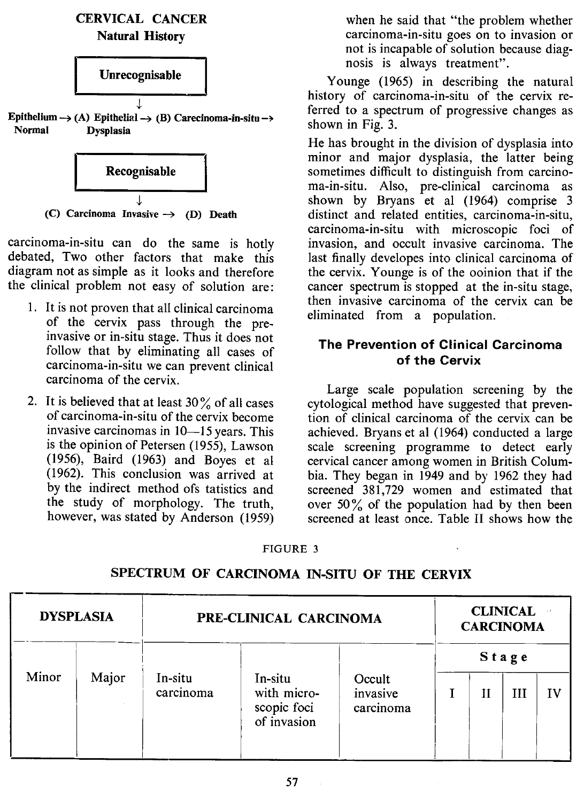



 $\overline{J}$ (C) Carcinoma Invasive  $\rightarrow$  (D) Death

carcinoma-in-situ can do the same is hotly debated, Two other factors that make this diagram not as simple as it looks and therefore the clinical problem not easy of solution are:

- 1. It is not proven that all clinical carcinoma of the cervix pass through the preinvasive or in-situ stage. Thus it does not follow that by eliminating all cases of carcinoma-in-situ we can prevent clinical carcinoma of the cervix.
- 2. It is believed that at least  $30\%$  of all cases of carcinoma-in-situ of the cervix become invasive carcinomas in 10-15 years. This is the opinion of Petersen (1955), Lawson (1956), Baird (1963) and Boyes et al (1962). This conclusion was arrived at by the indirect method ofs tatistics and the study of morphology. The truth, however, was stated by Anderson (1959)

when he said that "the problem whether carcinoma-in-situ goes on to invasion or not is incapable of solution because diagnosis is always treatment".

Younge (1965) in describing the natural history of carcinoma-in-situ of the cervix referred to a spectrum of progressive changes as shown in Fig. 3.

He has brought in the division of dysplasia into minor and major dysplasia, the latter being sometimes difficult to distinguish from carcinoma-in-situ. Also, pre-clinical carcinoma as shown by Bryans et al (1964) comprise 3 distinct and related entities, carcinoma-in-situ, carcinoma-in-situ with microscopic foci of invasion, and occult invasive carcinoma. The last finally developes into clinical carcinoma of the cervix. Younge is of the ooinion that if the cancer spectrum is stopped at the in-situ stage, then invasive carcinoma of the cervix can be eliminated from a population.

# The Prevention of Clinical Carcinoma of the Cervix

Large scale population screening by the cytological method have suggested that prevention of clinical carcinoma of the cervix can be achieved. Bryans et al (1964) conducted a large scale screening programme to detect early cervical cancer among women in British Columbia. They began in 1949 and by 1962 they had screened 381,729 women and estimated that over  $50\%$  of the population had by then been screened at least once. Table II shows how the

#### FIGURE 3

|       | <b>DYSPLASIA</b> | PRE-CLINICAL CARCINOMA | <b>CLINICAL</b><br><b>CARCINOMA</b>                  |                                 |  |   |            |  |
|-------|------------------|------------------------|------------------------------------------------------|---------------------------------|--|---|------------|--|
| Minor | Major            | In-situ<br>carcinoma   | In-situ<br>with micro-<br>scopic foci<br>of invasion | Occult<br>invasive<br>carcinoma |  | Н | Stage<br>Ш |  |

SPECTRUM OF CARCINOMA IN-SITU OF THE CERVIX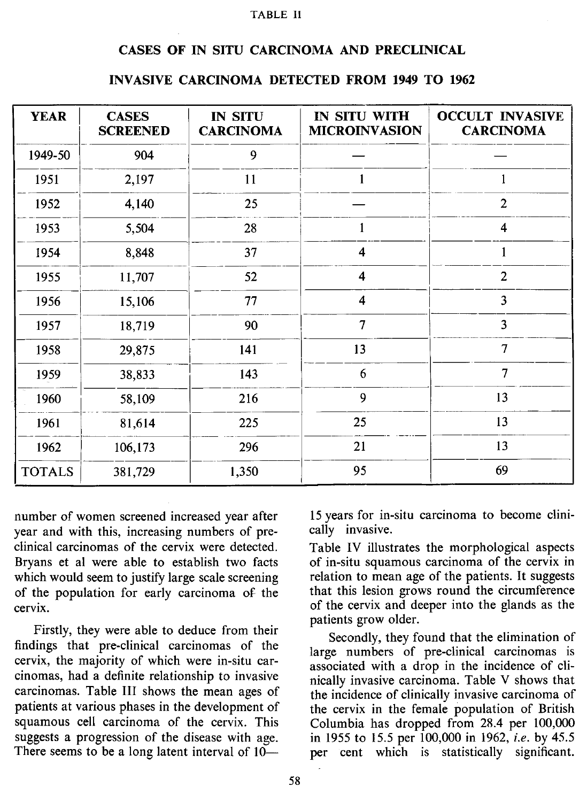#### **TABLE II**

#### CASES OF IN SITU CARCINOMA AND PRECLINICAL

#### **INVASIVE CARCINOMA DETECTED FROM 1949 TO 1962**

| <b>YEAR</b>   | <b>CASES</b><br><b>SCREENED</b> | <b>IN SITU</b><br><b>CARCINOMA</b> | IN SITU WITH<br><b>MICROINVASION</b> | <b>OCCULT INVASIVE</b><br><b>CARCINOMA</b> |
|---------------|---------------------------------|------------------------------------|--------------------------------------|--------------------------------------------|
| 1949-50       | 904                             | 9                                  |                                      |                                            |
| 1951          | 2,197                           | 11                                 |                                      |                                            |
| 1952          | 4,140                           | 25                                 |                                      | $\overline{2}$                             |
| 1953          | 5,504                           | 28                                 | 1                                    | 4                                          |
| 1954          | 8,848                           | 37                                 | 4                                    | 1                                          |
| 1955          | 11,707                          | 52                                 | 4                                    | $\overline{2}$                             |
| 1956          | 15,106                          | 77                                 | 4                                    | 3                                          |
| 1957          | 18,719                          | 90                                 | 7                                    | $\overline{\mathbf{3}}$                    |
| 1958          | 29,875                          | 141                                | 13                                   | $\overline{7}$                             |
| 1959          | 38,833                          | 143                                | 6                                    | $\overline{7}$                             |
| 1960          | 58,109                          | 216                                | 9                                    | 13                                         |
| 1961          | 81,614                          | 225                                | 25                                   | 13                                         |
| 1962          | 106,173                         | 296                                | 21                                   | 13                                         |
| <b>TOTALS</b> | 381,729                         | 1,350                              | 95                                   | 69                                         |

number of women screened increased year after year and with this, increasing numbers of preclinical carcinomas of the cervix were detected. Bryans et al were able to establish two facts which would seem to justify large scale screening of the population for early carcinoma of the cervix.

Firstly, they were able to deduce from their findings that pre-clinical carcinomas of the cervix, the majority of which were in-situ carcinomas, had a definite relationship to invasive carcinomas. Table III shows the mean ages of patients at various phases in the development of squamous cell carcinoma of the cervix. This suggests a progression of the disease with age. There seems to be a long latent interval of  $10-$  15years for in-situ carcinoma to become clinically invasive.

Table IV illustrates the morphological aspects of in-situ squamous carcinoma of the cervix in relation to mean age of the patients. It suggests that this lesion grows round the circumference of the cervix and deeper into the glands as the patients grow older.

Secondly, they found that the elimination of large numbers of pre-clinical carcinomas is associated with a drop in the incidence of clinically invasive carcinoma. Table V shows that the incidence of clinically invasive carcinoma of the cervix in the female population of British Columbia has dropped from 28.4 per 100,000 in 1955 to 15.5 per 100,000 in 1962, *i.e.* by 45.5 per cent which is statistically significant.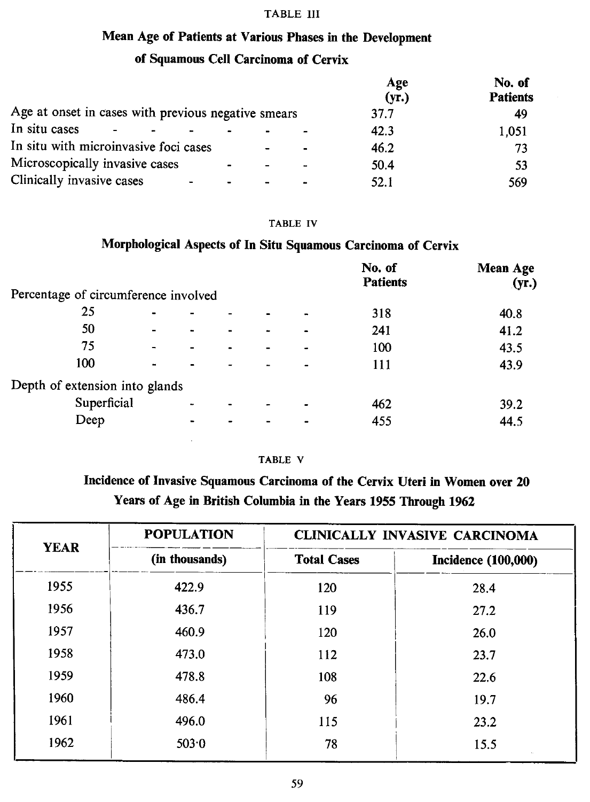#### TABLE III

## Mean Age of Patients at Various Phases in the Development

# of Squamous Cell Carcinoma of Cervix

|                                                     | Age<br>(yr.) | No. of<br><b>Patients</b> |
|-----------------------------------------------------|--------------|---------------------------|
| Age at onset in cases with previous negative smears | 37.7         | 49                        |
| In situ cases                                       | 42.3         | 1,051                     |
| In situ with microinvasive foci cases               | 46.2         | 73                        |
| Microscopically invasive cases                      | 50.4         | 53                        |
| Clinically invasive cases                           | 52.1         | 569                       |

#### TABLE IV

## Morphological Aspects of In Situ Squamous Carcinoma of Cervix

|                                      |                              |  |                          | No. of<br><b>Patients</b> | <b>Mean Age</b><br>(yr.) |
|--------------------------------------|------------------------------|--|--------------------------|---------------------------|--------------------------|
| Percentage of circumference involved |                              |  |                          |                           |                          |
| 25                                   | $\qquad \qquad \blacksquare$ |  | ۰                        | 318                       | 40.8                     |
| 50                                   | $\blacksquare$               |  | $\overline{\phantom{0}}$ | 241                       | 41.2                     |
| 75                                   |                              |  |                          | 100                       | 43.5                     |
| 100                                  | $\blacksquare$               |  |                          | 111                       | 43.9                     |
| Depth of extension into glands       |                              |  |                          |                           |                          |
| Superficial                          |                              |  | -                        | 462                       | 39.2                     |
| Deep                                 |                              |  |                          | 455                       | 44.5                     |
|                                      |                              |  |                          |                           |                          |

### TABLE V

# Incidence of Invasive Squamous Carcinoma of the Cervix Uteri in Women over 20 Years of Age in British Columbia in the Years 1955 Through 1962

| <b>YEAR</b> | <b>POPULATION</b> | <b>CLINICALLY INVASIVE CARCINOMA</b> |                            |  |  |
|-------------|-------------------|--------------------------------------|----------------------------|--|--|
|             | (in thousands)    | <b>Total Cases</b>                   | <b>Incidence (100,000)</b> |  |  |
| 1955        | 422.9             | 120                                  | 28.4                       |  |  |
| 1956        | 436.7             | 119                                  | 27.2                       |  |  |
| 1957        | 460.9             | 120                                  | 26.0                       |  |  |
| 1958        | 473.0             | 112                                  | 23.7                       |  |  |
| 1959        | 478.8             | 108                                  | 22.6                       |  |  |
| 1960        | 486.4             | 96                                   | 19.7                       |  |  |
| 1961        | 496.0             | 115                                  | 23.2                       |  |  |
| 1962        | 503.0             | 78                                   | 15.5                       |  |  |
|             |                   |                                      |                            |  |  |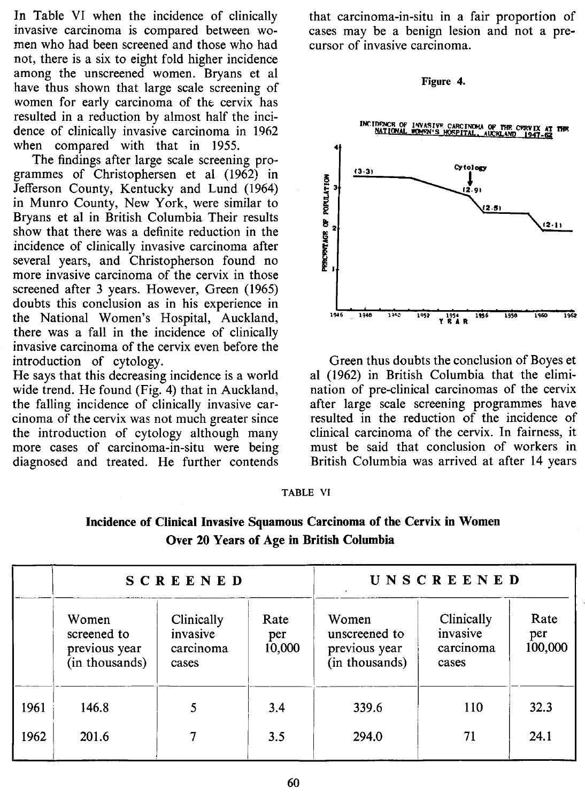In Table VI when the incidence of clinically invasive carcinoma is compared between women who had been screened and those who had not, there is a six to eight fold higher incidence among the unscreened women. Bryans et al have thus shown that large scale screening of women for early carcinoma of the cervix has resulted in a reduction by almost half the incidence of clinically invasive carcinoma in 1962 when compared with that in 1955.

The findings after large scale screening programmes of Christophersen et al (1962) in Jefferson County, Kentucky and Lund (1964) in Munro County, New York, were similar to Bryans et al in British Columbia Their results show that there was a definite reduction in the incidence of clinically invasive carcinoma after several years, and Christopherson found no more invasive carcinoma of the cervix in those screened after 3 years. However, Green (1965) doubts this conclusion as in his experience in the National Women's Hospital, Auckland, there was a fall in the incidence of clinically invasive carcinoma of the cervix even before the introduction of cytology.

He says that this decreasing incidence is a world wide trend. He found (Fig. 4) that in Auckland, the falling incidence of clinically invasive carcinoma of the cervix was not much greater since the introduction of cytology although many more cases of carcinoma-in-situ were being diagnosed and treated. He further contends that carcinoma-in-situ in a fair proportion of cases may be a benign lesion and not a precursor of invasive carcinoma.

#### Figure 4.



Green thus doubts the conclusion of Boyes et al (1962) in British Columbia that the elimination of pre-clinical carcinomas of the cervix after large scale screening programmes have resulted in the reduction of the incidence of clinical carcinoma of the cervix. In fairness, it must be said that conclusion of workers in British Columbia was arrived at after 14 years

#### **TABLE VI**

| Incidence of Clinical Invasive Squamous Carcinoma of the Cervix in Women |  |
|--------------------------------------------------------------------------|--|
| Over 20 Years of Age in British Columbia                                 |  |

|              |                                                         | <b>SCREENED</b>                              |                       |                                                           | UNSCREENED                                   |                        |
|--------------|---------------------------------------------------------|----------------------------------------------|-----------------------|-----------------------------------------------------------|----------------------------------------------|------------------------|
|              | Women<br>screened to<br>previous year<br>(in thousands) | Clinically<br>invasive<br>carcinoma<br>cases | Rate<br>per<br>10,000 | Women<br>unscreened to<br>previous year<br>(in thousands) | Clinically<br>invasive<br>carcinoma<br>cases | Rate<br>per<br>100,000 |
| 1961<br>1962 | 146.8<br>201.6                                          |                                              | 3.4<br>3.5            | 339.6<br>294.0                                            | 110<br>71                                    | 32.3<br>24.1           |
|              |                                                         |                                              |                       |                                                           |                                              |                        |